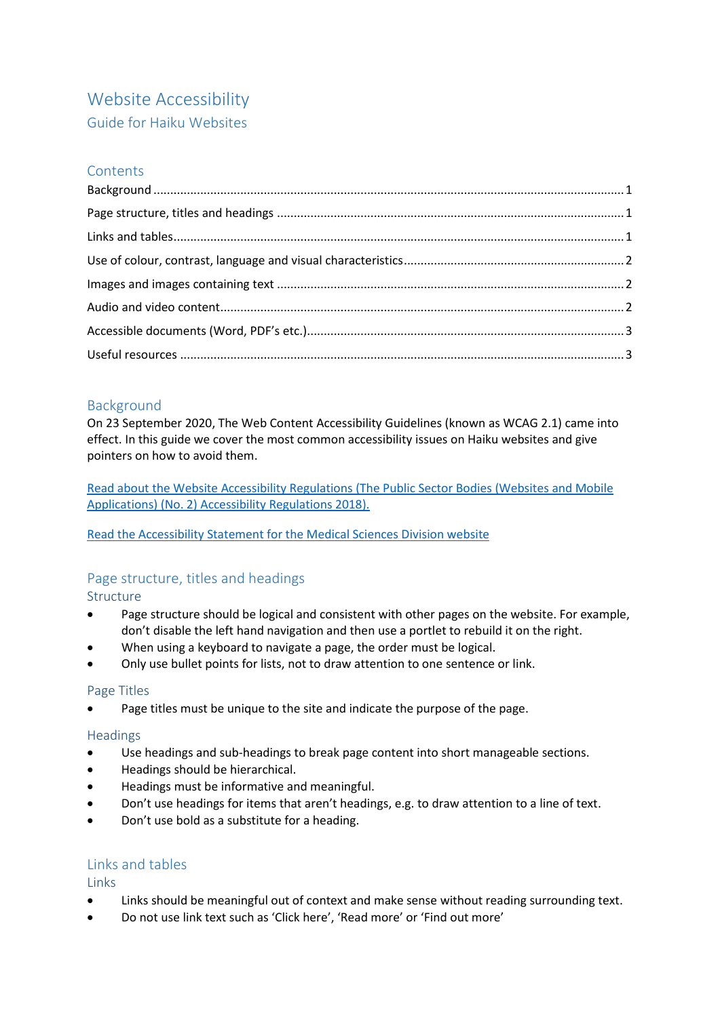# Website Accessibility

# Guide for Haiku Websites

# **Contents**

# <span id="page-0-0"></span>Background

On 23 September 2020, The Web Content Accessibility Guidelines (known as WCAG 2.1) came into effect. In this guide we cover the most common accessibility issues on Haiku websites and give pointers on how to avoid them.

[Read about the Website Accessibility Regulations \(The Public Sector Bodies \(Websites and Mobile](https://www.gov.uk/guidance/accessibility-requirements-for-public-sector-websites-and-apps)  [Applications\) \(No. 2\) Accessibility Regulations 2018\).](https://www.gov.uk/guidance/accessibility-requirements-for-public-sector-websites-and-apps)

[Read the Accessibility Statement for the Medical Sciences Division website](https://www.medsci.ox.ac.uk/accessibility)

# <span id="page-0-1"></span>Page structure, titles and headings

Structure

- Page structure should be logical and consistent with other pages on the website. For example, don't disable the left hand navigation and then use a portlet to rebuild it on the right.
- When using a keyboard to navigate a page, the order must be logical.
- Only use bullet points for lists, not to draw attention to one sentence or link.

# Page Titles

Page titles must be unique to the site and indicate the purpose of the page.

#### **Headings**

- Use headings and sub-headings to break page content into short manageable sections.
- Headings should be hierarchical.
- Headings must be informative and meaningful.
- Don't use headings for items that aren't headings, e.g. to draw attention to a line of text.
- Don't use bold as a substitute for a heading.

# <span id="page-0-2"></span>Links and tables

Links

- Links should be meaningful out of context and make sense without reading surrounding text.
- Do not use link text such as 'Click here', 'Read more' or 'Find out more'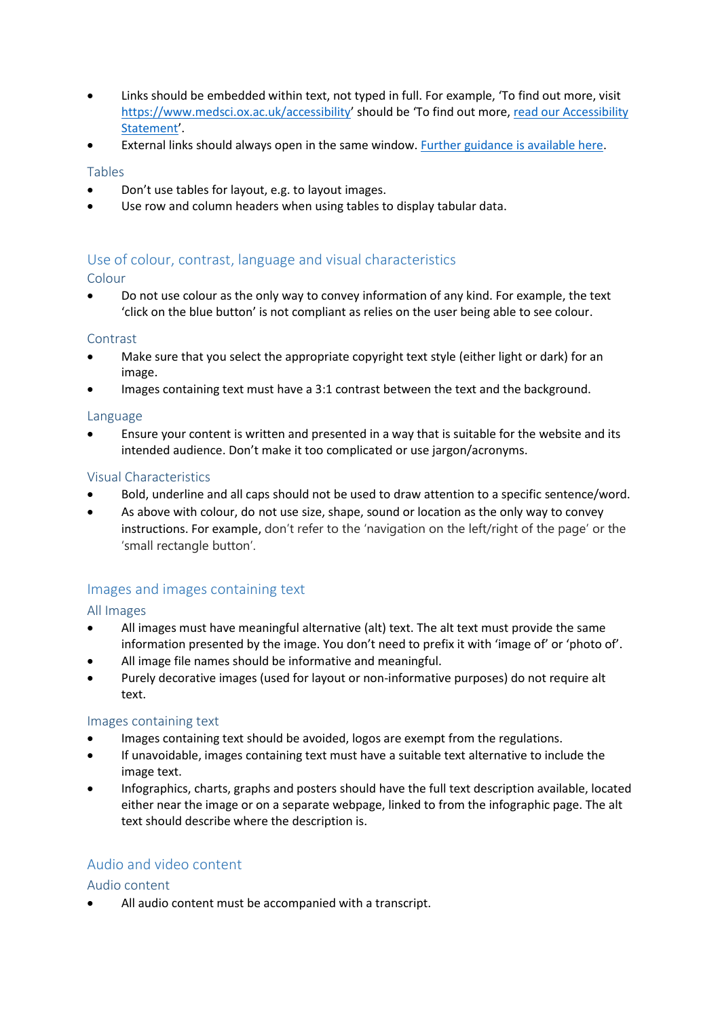- Links should be embedded within text, not typed in full. For example, 'To find out more, visit <https://www.medsci.ox.ac.uk/accessibility>' should be 'To find out more, [read our Accessibility](https://www.medsci.ox.ac.uk/accessibility/)  [Statement](https://www.medsci.ox.ac.uk/accessibility/)'.
- External links should always open in the same window. [Further guidance is available here.](https://www.medsci.ox.ac.uk/divisional-services/support-services-1/communications-web/guidelines/haiku/site-administration/links-opening-in-new-tabs)

#### Tables

- Don't use tables for layout, e.g. to layout images.
- Use row and column headers when using tables to display tabular data.

# <span id="page-1-0"></span>Use of colour, contrast, language and visual characteristics

Colour

 Do not use colour as the only way to convey information of any kind. For example, the text 'click on the blue button' is not compliant as relies on the user being able to see colour.

#### **Contrast**

- Make sure that you select the appropriate copyright text style (either light or dark) for an image.
- Images containing text must have a 3:1 contrast between the text and the background.

#### Language

 Ensure your content is written and presented in a way that is suitable for the website and its intended audience. Don't make it too complicated or use jargon/acronyms.

#### Visual Characteristics

- Bold, underline and all caps should not be used to draw attention to a specific sentence/word.
- As above with colour, do not use size, shape, sound or location as the only way to convey instructions. For example, don't refer to the 'navigation on the left/right of the page' or the 'small rectangle button'.

# <span id="page-1-1"></span>Images and images containing text

All Images

- All images must have meaningful alternative (alt) text. The alt text must provide the same information presented by the image. You don't need to prefix it with 'image of' or 'photo of'.
- All image file names should be informative and meaningful.
- Purely decorative images (used for layout or non-informative purposes) do not require alt text.

#### Images containing text

- Images containing text should be avoided, logos are exempt from the regulations.
- If unavoidable, images containing text must have a suitable text alternative to include the image text.
- Infographics, charts, graphs and posters should have the full text description available, located either near the image or on a separate webpage, linked to from the infographic page. The alt text should describe where the description is.

# <span id="page-1-2"></span>Audio and video content

Audio content

All audio content must be accompanied with a transcript.